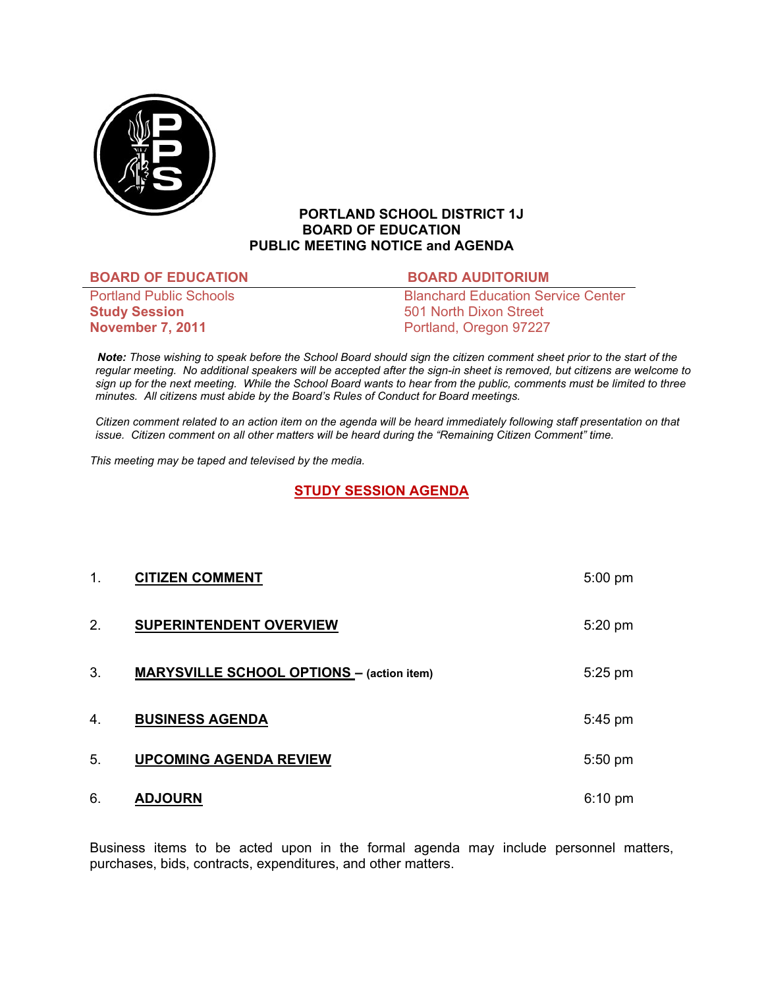

## **PORTLAND SCHOOL DISTRICT 1J BOARD OF EDUCATION PUBLIC MEETING NOTICE and AGENDA**

#### **BOARD OF EDUCATION BOARD AUDITORIUM**

**Study Session** 501 North Dixon Street **November 7, 2011 Portland, Oregon 97227** 

Portland Public Schools **Blanchard Education Service Center** 

 *Note: Those wishing to speak before the School Board should sign the citizen comment sheet prior to the start of the regular meeting. No additional speakers will be accepted after the sign-in sheet is removed, but citizens are welcome to sign up for the next meeting. While the School Board wants to hear from the public, comments must be limited to three minutes. All citizens must abide by the Board's Rules of Conduct for Board meetings.* 

 *Citizen comment related to an action item on the agenda will be heard immediately following staff presentation on that issue. Citizen comment on all other matters will be heard during the "Remaining Citizen Comment" time.* 

*This meeting may be taped and televised by the media.* 

## **STUDY SESSION AGENDA**

| 1. | <b>CITIZEN COMMENT</b>                           | $5:00$ pm         |
|----|--------------------------------------------------|-------------------|
| 2. | <b>SUPERINTENDENT OVERVIEW</b>                   | $5:20$ pm         |
| 3. | <b>MARYSVILLE SCHOOL OPTIONS - (action item)</b> | $5:25$ pm         |
| 4. | <b>BUSINESS AGENDA</b>                           | 5:45 pm           |
| 5. | <b>UPCOMING AGENDA REVIEW</b>                    | 5:50 pm           |
| 6. | <b>ADJOURN</b>                                   | $6:10 \text{ pm}$ |

Business items to be acted upon in the formal agenda may include personnel matters, purchases, bids, contracts, expenditures, and other matters.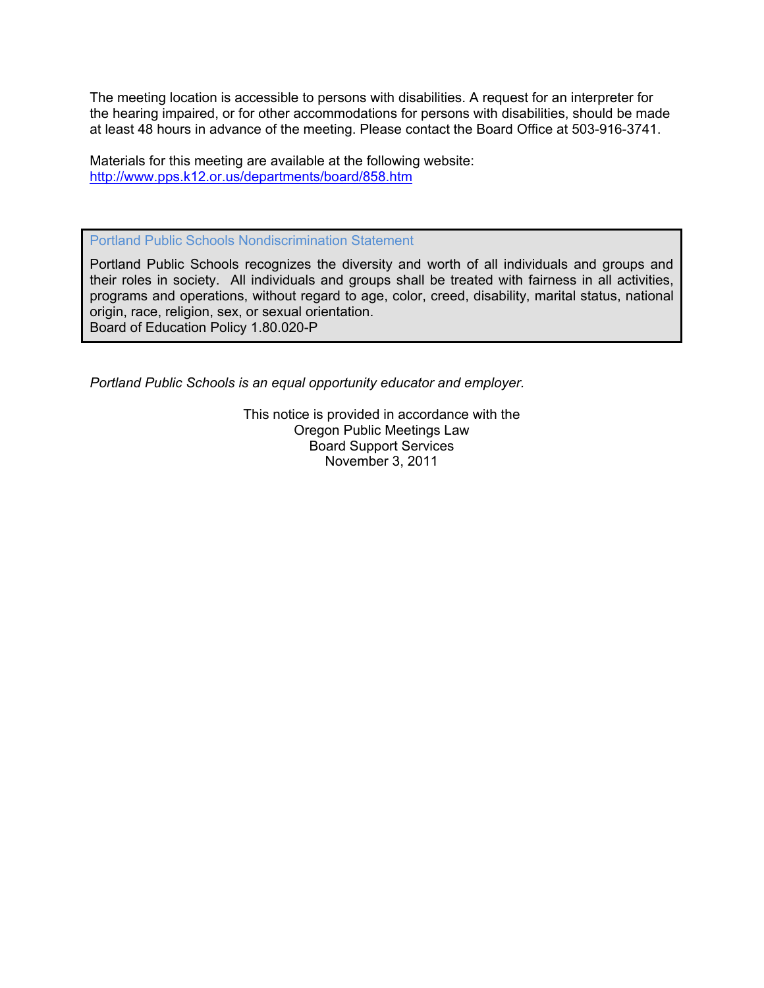The meeting location is accessible to persons with disabilities. A request for an interpreter for the hearing impaired, or for other accommodations for persons with disabilities, should be made at least 48 hours in advance of the meeting. Please contact the Board Office at 503-916-3741.

Materials for this meeting are available at the following website: http://www.pps.k12.or.us/departments/board/858.htm

Portland Public Schools Nondiscrimination Statement

Portland Public Schools recognizes the diversity and worth of all individuals and groups and their roles in society. All individuals and groups shall be treated with fairness in all activities, programs and operations, without regard to age, color, creed, disability, marital status, national origin, race, religion, sex, or sexual orientation. Board of Education Policy 1.80.020-P

*Portland Public Schools is an equal opportunity educator and employer.* 

This notice is provided in accordance with the Oregon Public Meetings Law Board Support Services November 3, 2011